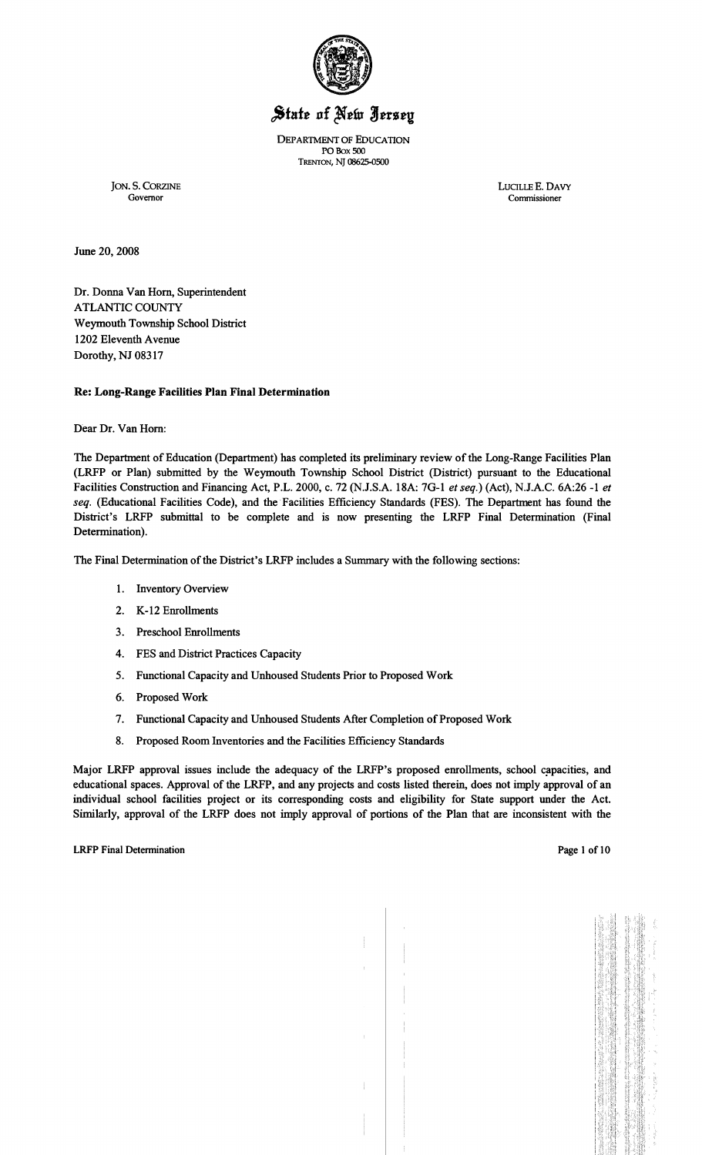

# State of New Jersey

DEPARTMENT OF EDUCATION POBox 500 TRENTON, NJ 08625-0500

JON. S. CORZINE LUCILLE E. DAVY Governor Commissioner Governor Commissioner

June 20, 2008

Dr. Donna Van Horn, Superintendent ATLANTIC COUNTY Weymouth Township School District 1202 Eleventh Avenue Dorothy, NJ 08317

## Re: Long-Range Facilities Plan Final Determination

Dear Dr. Van Hom:

The Department of Education (Department) has completed its preliminary review of the Long-Range Facilities Plan (LRFP or Plan) submitted by the Weymouth Township School District (District) pursuant to the Educational Facilities Construction and Financing Act, P.L. 2000, c. 72 (N.J.S.A. 18A: 7G-l *et seq.)* (Act), N.J.A.C. 6A:26 -1 *et*  seq. (Educational Facilities Code), and the Facilities Efficiency Standards (FES). The Department has found the District's LRFP submittal to be complete and is now presenting the LRFP Final Determination (Final Determination).

The Final Determination of the District's LRFP includes a Summary with the following sections:

- 1. Inventory Overview
- 2. K-12 Enrollments
- 3. Preschool Enrollments
- 4. FES and District Practices Capacity
- 5. Functional Capacity and Unhoused Students Prior to Proposed Work
- 6. Proposed Work
- 7. Functional Capacity and Unhoused Students After Completion of Proposed Work
- 8. Proposed Room Inventories and the Facilities Efficiency Standards

Major LRFP approval issues include the adequacy of the LRFP's proposed enrollments, school capacities, and educational spaces. Approval of the LRFP, and any projects and costs listed therein, does not imply approval of an individual school facilities project or its corresponding costs and eligibility for State support under the Act. Similarly, approval of the LRFP does not imply approval of portions of the Plan that are inconsistent with the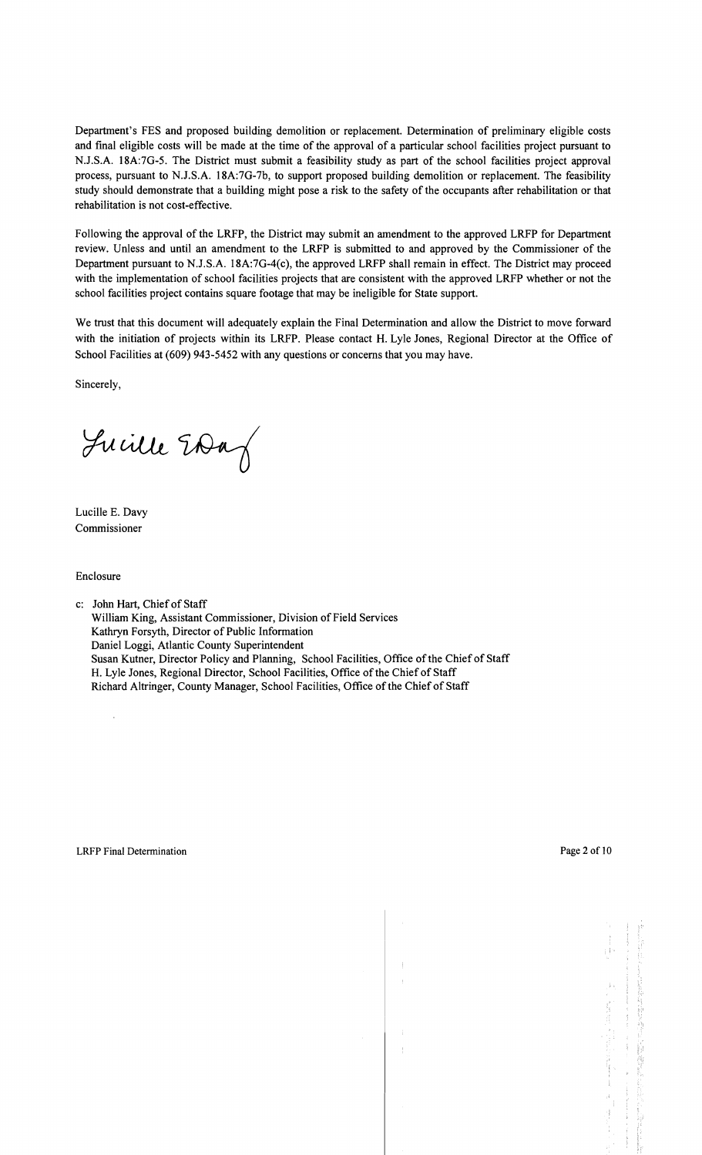Department's FES and proposed building demolition or replacement. Determination of preliminary eligible costs and final eligible costs will be made at the time of the approval of a particular school facilities project pursuant to N.J.S.A. 18A:7G-5. The District must submit a feasibility study as part of the school facilities project approval process, pursuant to N.J.S.A. 18A:7G-7b, to support proposed building demolition or replacement. The feasibility study should demonstrate that a building might pose a risk to the safety of the occupants after rehabilitation or that rehabilitation is not cost-effective.

Following the approval of the LRFP, the District may submit an amendment to the approved LRFP for Department review. Unless and until an amendment to the LRFP is submitted to and approved by the Commissioner of the Department pursuant to NJ.S.A. 18A:7G-4(c), the approved LRFP shall remain in effect. The District may proceed with the implementation of school facilities projects that are consistent with the approved LRFP whether or not the school facilities project contains square footage that may be ineligible for State support.

We trust that this document will adequately explain the Final Determination and allow the District to move forward with the initiation of projects within its LRFP. Please contact H. Lyle Jones, Regional Director at the Office of School Facilities at (609) 943-5452 with any questions or concerns that you may have.

Sincerely,

Juille EDag

Lucille E. Davy Commissioner

Enclosure

c: John Hart, Chief of Staff William King, Assistant Commissioner, Division of Field Services Kathryn Forsyth, Director of Public Information Daniel Loggi, Atlantic County Superintendent Susan Kutner, Director Policy and Planning, School Facilities, Office of the Chief of Staff H. Lyle Jones, Regional Director, School Facilities, Office of the Chief of Staff Richard Altringer, County Manager, School Facilities, Office of the Chief of Staff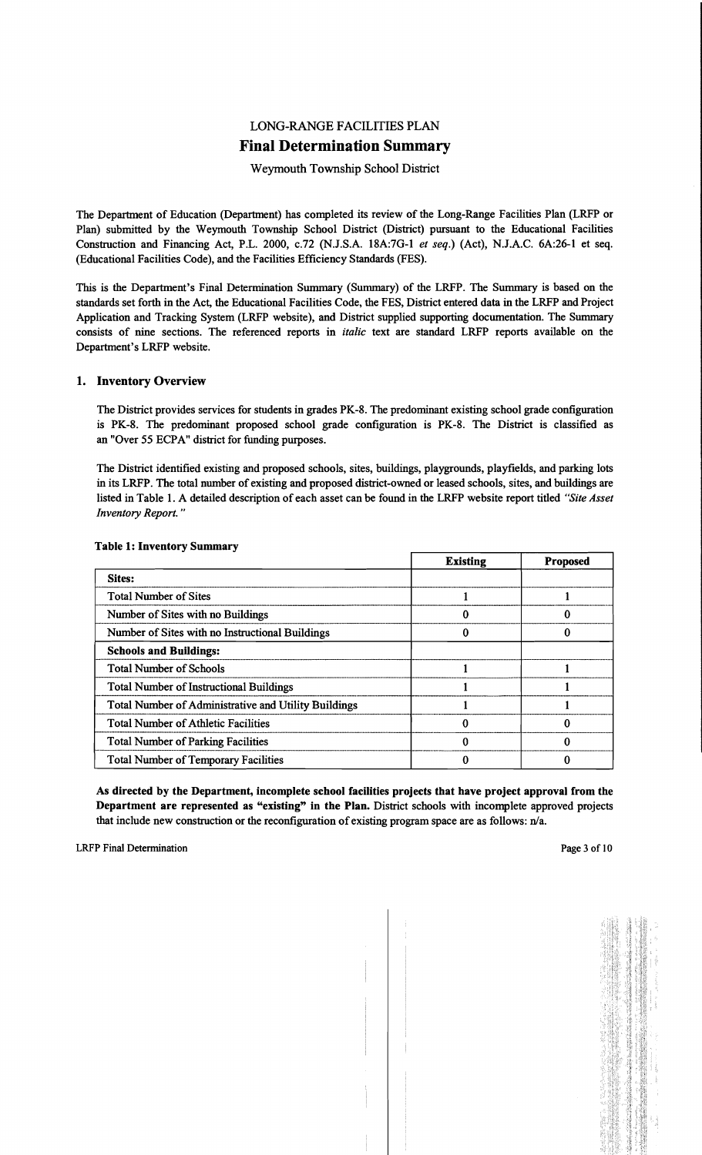## LONG-RANGE FACILITIES PLAN Final Determination Summary

Weymouth Township School District

The Department of Education (Department) has completed its review of the Long-Range Facilities Plan (LRFP or Plan) submitted by the Weymouth Township School District (District) pursuant to the Educational Facilities Construction and Financing Act, P.L. 2000, c.72 (N.J.S.A. 18A:7G-l *et seq.)* (Act), N.J.A.C. 6A:26-1 et seq. (Educational Facilities Code), and the Facilities Efficiency Standards (FES).

This is the Department's Final Determination Summary (Summary) of the LRFP. The Summary is based on the standards set forth in the Act, the Educational Facilities Code, the FES, District entered data in the LRFP and Project Application and Tracking System (LRFP website), and District supplied supporting documentation. The Summary consists of nine sections. The referenced reports in *italic* text are standard LRFP reports available on the Department's LRFP website.

## 1. Inventory Overview

The District provides services for students in grades PK-8. The predominant existing school grade configuration is PK-8. The predominant proposed school grade configuration is PK-8. The District is classified as an "Over 55 ECPA" district for funding purposes.

The District identified existing and proposed schools, sites, buildings, playgrounds, playfields, and parking lots in its LRFP. The total number of existing and proposed district-owned or leased schools, sites, and buildings are listed in Table 1. A detailed description of each asset can be found in the LRFP website report titled *"Site Asset Inventory Report. "* 

|                                                      | <b>Existing</b> | <b>Proposed</b> |
|------------------------------------------------------|-----------------|-----------------|
| Sites:                                               |                 |                 |
| <b>Total Number of Sites</b>                         |                 |                 |
| Number of Sites with no Buildings                    |                 |                 |
| Number of Sites with no Instructional Buildings      |                 |                 |
| <b>Schools and Buildings:</b>                        |                 |                 |
| <b>Total Number of Schools</b>                       |                 |                 |
| <b>Total Number of Instructional Buildings</b>       |                 |                 |
| Total Number of Administrative and Utility Buildings |                 |                 |
| <b>Total Number of Athletic Facilities</b>           |                 |                 |
| <b>Total Number of Parking Facilities</b>            |                 |                 |
| <b>Total Number of Temporary Facilities</b>          |                 |                 |

#### Table 1: Inventory Summary

As directed by the Department, incomplete school facilities projects that have project approval from the Department are represented as "existing" in the Plan. District schools with incomplete approved projects that include new construction or the reconfiguration of existing program space are as follows:  $n/a$ .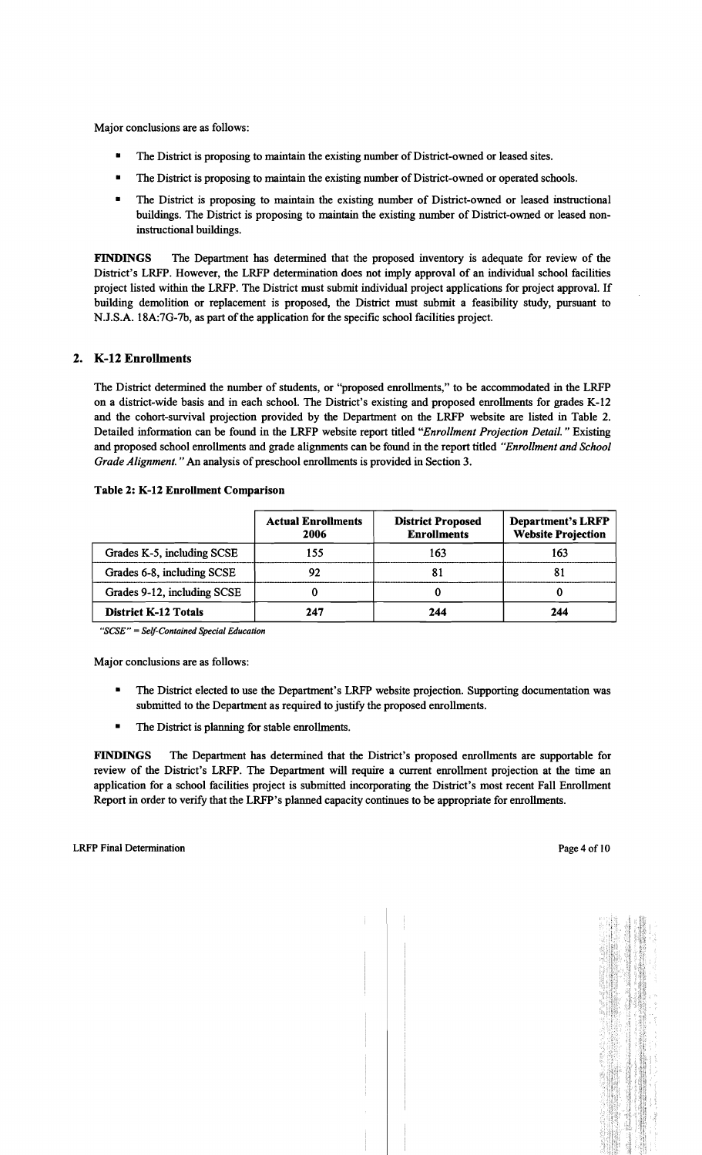Major conclusions are as follows:

- The District is proposing to maintain the existing number of District-owned or leased sites.
- The District is proposing to maintain the existing number of District-owned or operated schools.
- The District is proposing to maintain the existing number of District-owned or leased instructional buildings. The District is proposing to maintain the existing number of District-owned or leased noninstructional buildings.

FINDINGS The Department has determined that the proposed inventory is adequate for review of the District's LRFP. However, the LRFP determination does not imply approval of an individual school facilities project listed within the LRFP. The District must submit individual project applications for project approval. If building demolition or replacement is proposed, the District must submit a feasibility study, pursuant to N.J.S.A. 18A:7G-7b, as part of the application for the specific school facilities project.

## 2. K-12 Enrollments

The District determined the number of students, or "proposed enrollments," to be accommodated in the LRFP on a district-wide basis and in each school. The District's existing and proposed enrollments for grades K-12 and the cohort-survival projection provided by the Department on the LRFP website are listed in Table 2. Detailed information can be found in the LRFP website report titled *"Enrollment Projection Detail.* " Existing and proposed school enrollments and grade alignments can be found in the report titled *"Enrollment and School Grade Alignment.* " An analysis of preschool enrollments is provided in Section 3.

| Table 2: K-12 Enrollment Comparison |  |  |
|-------------------------------------|--|--|
|-------------------------------------|--|--|

|                             | <b>Actual Enrollments</b><br>2006 | <b>District Proposed</b><br><b>Enrollments</b> | <b>Department's LRFP</b><br><b>Website Projection</b> |
|-----------------------------|-----------------------------------|------------------------------------------------|-------------------------------------------------------|
| Grades K-5, including SCSE  | 155                               | 163                                            | 163                                                   |
| Grades 6-8, including SCSE  | 92                                |                                                | 81                                                    |
| Grades 9-12, including SCSE |                                   |                                                |                                                       |
| <b>District K-12 Totals</b> | 247                               | 244                                            | 244                                                   |

*"SCSE"* = *Self-Contained Special Education* 

Major conclusions are as follows:

- The District elected to use the Department's LRFP website projection. Supporting documentation was submitted to the Department as required to justify the proposed enrollments.
- **•** The District is planning for stable enrollments.

FINDINGS The Department has determined that the District's proposed enrollments are supportable for review of the District's LRFP. The Department will require a current enrollment projection at the time an application for a school facilities project is submitted incorporating the District's most recent Fall Enrollment Report in order to verify that the LRFP's planned capacity continues to be appropriate for enrollments.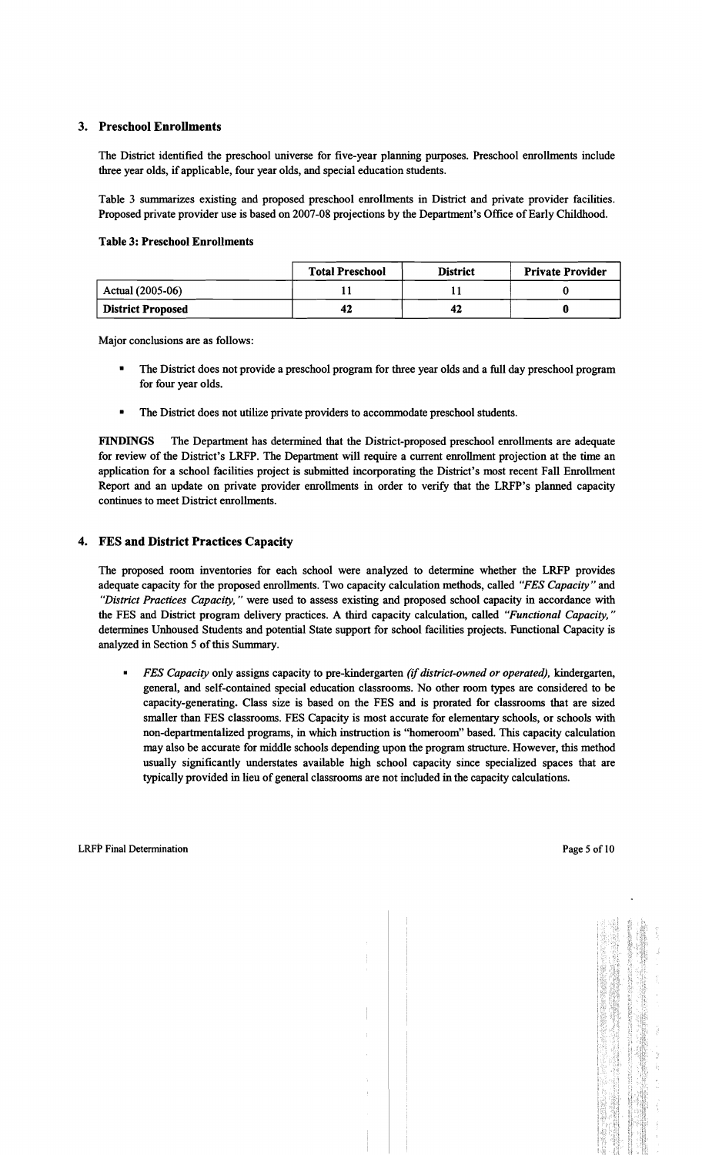### 3. Preschool Enrollments

The District identified the preschool universe for five-year planning purposes. Preschool emollments include three year oIds, if applicable, four year olds, and special education students.

Table 3 summarizes existing and proposed preschool emollments in District and private provider facilities. Proposed private provider use is based on 2007-08 projections by the Department's Office of Early Childhood.

#### Table 3: Preschool Enrollments

|                          | <b>Total Preschool</b> | <b>District</b> | <b>Private Provider</b> |
|--------------------------|------------------------|-----------------|-------------------------|
| Actual (2005-06)         |                        |                 |                         |
| <b>District Proposed</b> | -42                    | 42              |                         |

Major conclusions are as follows:

- The District does not provide a preschool program for three year olds and a full day preschool program for four year oIds.
- The District does not utilize private providers to accommodate preschool students.

FINDINGS The Department has determined that the District-proposed preschool emollments are adequate for review of the District's LRFP. The Department will require a current emollment projection at the time an application for a school facilities project is submitted incorporating the District's most recent Fall Emollment Report and an update on private provider emollments in order to verify that the LRFP's planned capacity continues to meet District emollments.

## 4. FES and District Practices Capacity

The proposed room inventories for each school were analyzed to determine whether the LRFP provides adequate capacity for the proposed emollments. Two capacity calculation methods, called *'FES Capacity'* and *"District Practices Capacity,* " were used to assess existing and proposed school capacity in accordance with the FES and District program delivery practices. A third capacity calculation, called *"Functional Capacity, "*  determines Unhoused Students and potential State support for school facilities projects. Functional Capacity is analyzed in Section 5 of this Summary.

*• FES Capacity* only assigns capacity to pre-kindergarten *(if district-owned or operated),* kindergarten, general, and self-contained special education classrooms. No other room types are considered to be capacity-generating. Class size is based on the FES and is prorated for classrooms that are sized smaller than FES classrooms. FES Capacity is most accurate for elementary schools, or schools with non-departmentalized programs, in which instruction is "homeroom" based. This capacity calculation may also be accurate for middle schools depending upon the program structure. However, this method usually significantly understates available high school capacity since specialized spaces that are typically provided in lieu of general classrooms are not included in the capacity calculations.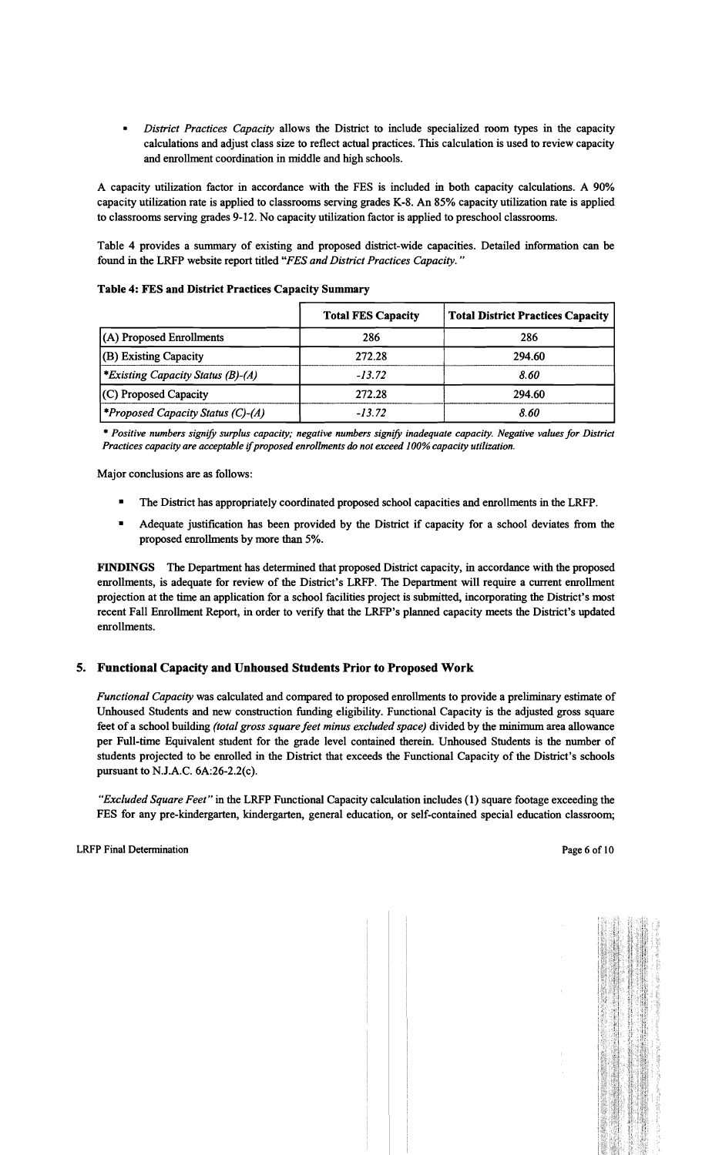*• District Practices Capacity* allows the District to include specialized room types in the capacity calculations and adjust class size to reflect actual practices. This calculation is used to review capacity and enrollment coordination in middle and high schools.

A capacity utilization factor in accordance with the FES is included in both capacity calculations. A 90% capacity utilization rate is applied to classrooms serving grades K-8. An 85% capacity utilization rate is applied to classrooms serving grades 9-12. No capacity utilization factor is applied to preschool classrooms.

Table 4 provides a summary of existing and proposed district-wide capacities. Detailed information can be found in the LRFP website report titled *"FES and District Practices Capacity. "* 

Table 4: FES and District Practices Capacity Summary

|                                          | <b>Total FES Capacity</b> | <b>Total District Practices Capacity</b> |
|------------------------------------------|---------------------------|------------------------------------------|
| (A) Proposed Enrollments                 | 286                       | 286                                      |
| (B) Existing Capacity                    | 272.28                    | 294.60                                   |
| *Existing Capacity Status (B)-(A)        | $-13.72$                  | 8.60                                     |
| $(C)$ Proposed Capacity                  | 272.28                    | 294.60                                   |
| <i>*Proposed Capacity Status (C)-(A)</i> | $-13.72$                  | 8.60                                     |

\* *Positive numbers signify surplus capacity; negative numbers signify inadequate capacity. Negative values for District Practices capacity are acceptable* if*proposed enrollments do not exceed 100% capacity utilization.* 

Major conclusions are as follows:

- The District has appropriately coordinated proposed school capacities and enrollments in the LRFP.
- **•** Adequate justification has been provided by the District if capacity for a school deviates from the proposed enrollments by more than 5%.

FINDINGS The Department has determined that proposed District capacity, in accordance with the proposed enrollments, is adequate for review of the District's LRFP. The Department will require a current enrollment projection at the time an application for a school facilities project is submitted, incorporating the District's most recent Fall Enrollment Report, in order to verify that the LRFP's planned capacity meets the District's updated enrollments.

## 5. Functional Capacity and Unhoused Students Prior to Proposed Work

*Functional Capacity* was calculated and compared to proposed enrollments to provide a preliminary estimate of Unhoused Students and new construction funding eligibility. Functional Capacity is the adjusted gross square feet of a school building *(total gross square feet minus excluded space)* divided by the minimum area allowance per Full-time Equivalent student for the grade level contained therein. Unhoused Students is the number of students projected to be enrolled in the District that exceeds the Functional Capacity of the District's schools pursuant to N.J.A.C. 6A:26-2.2(c).

*"Excluded Square Feet"* in the LRFP Functional Capacity calculation includes (1) square footage exceeding the FES for any pre-kindergarten, kindergarten, general education, or self-contained special education classroom;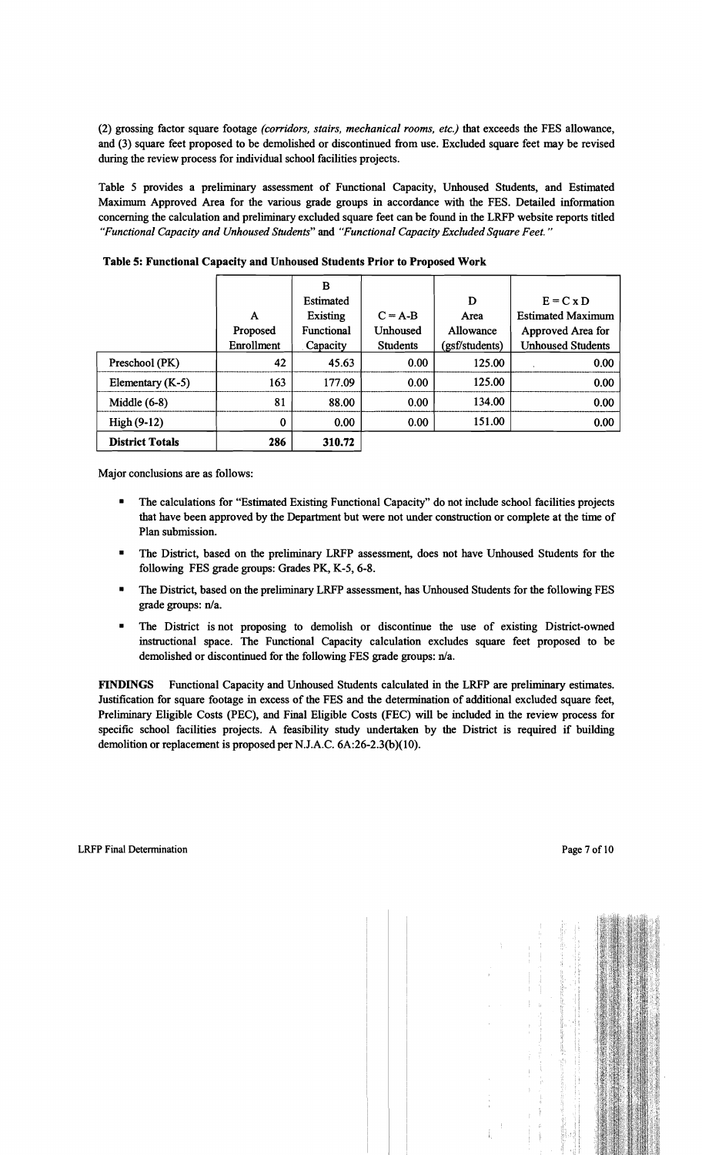(2) grossing factor square footage *(corridors, stairs, mechanical rooms, etc.)* that exceeds the FES allowance, and (3) square feet proposed to be demolished or discontinued from use. Excluded square feet may be revised during the review process for individual school facilities projects.

Table 5 provides a preliminary assessment of Functional Capacity, Unhoused Students, and Estimated Maximum Approved Area for the various grade groups in accordance with the FES. Detailed information concerning the calculation and preliminary excluded square feet can be found in the LRFP website reports titled *"Functional Capacity and Unhoused Students"* and *"Functional Capacity Excluded Square Feet. "* 

|                        |            | B          |                 |                |                          |
|------------------------|------------|------------|-----------------|----------------|--------------------------|
|                        |            | Estimated  |                 | D              | $E = C \times D$         |
|                        | A          | Existing   | $C = A-B$       | Area           | <b>Estimated Maximum</b> |
|                        | Proposed   | Functional | <b>Unhoused</b> | Allowance      | Approved Area for        |
|                        | Enrollment | Capacity   | <b>Students</b> | (gsf/students) | <b>Unhoused Students</b> |
| Preschool (PK)         | 42         | 45.63      | 0.00            | 125.00         | 0.00                     |
| Elementary (K-5)       | 163        | 177.09     | 0.00            | 125.00         | 0.00                     |
| Middle $(6-8)$         | 81         | 88.00      | 0.00            | 134.00         | 0.00                     |
| $High(9-12)$           | 0          | 0.00       | 0.00            | 151.00         | 0.00                     |
| <b>District Totals</b> | 286        | 310.72     |                 |                |                          |

Table 5: Functional Capacity and Unhoused Students Prior to Proposed Work

Major conclusions are as follows:

- The calculations for "Estimated Existing Functional Capacity" do not include school facilities projects that have been approved by the Department but were not under construction or complete at the time of Plan submission.
- The District, based on the preliminary LRFP assessment, does not have Unhoused Students for the following FES grade groups: Grades PK, K-5, 6-8.
- The District, based on the preliminary LRFP assessment, has Unhoused Students for the following FES grade groups: n/a.
- The District is not proposing to demolish or discontinue the use of existing District-owned instructional space. The Functional Capacity calculation excludes square feet proposed to be demolished or discontinued for the following FES grade groups: n/a.

FINDINGS Functional Capacity and Unhoused Students calculated in the LRFP are preliminary estimates. Justification for square footage in excess of the FES and the determination of additional excluded square feet, Preliminary Eligible Costs (PEC), and Final Eligible Costs (FEC) will be included in the review process for specific school facilities projects. A feasibility study undertaken by the District is required if building demolition or replacement is proposed per N.J.A.C. 6A:26-2.3(b)(10).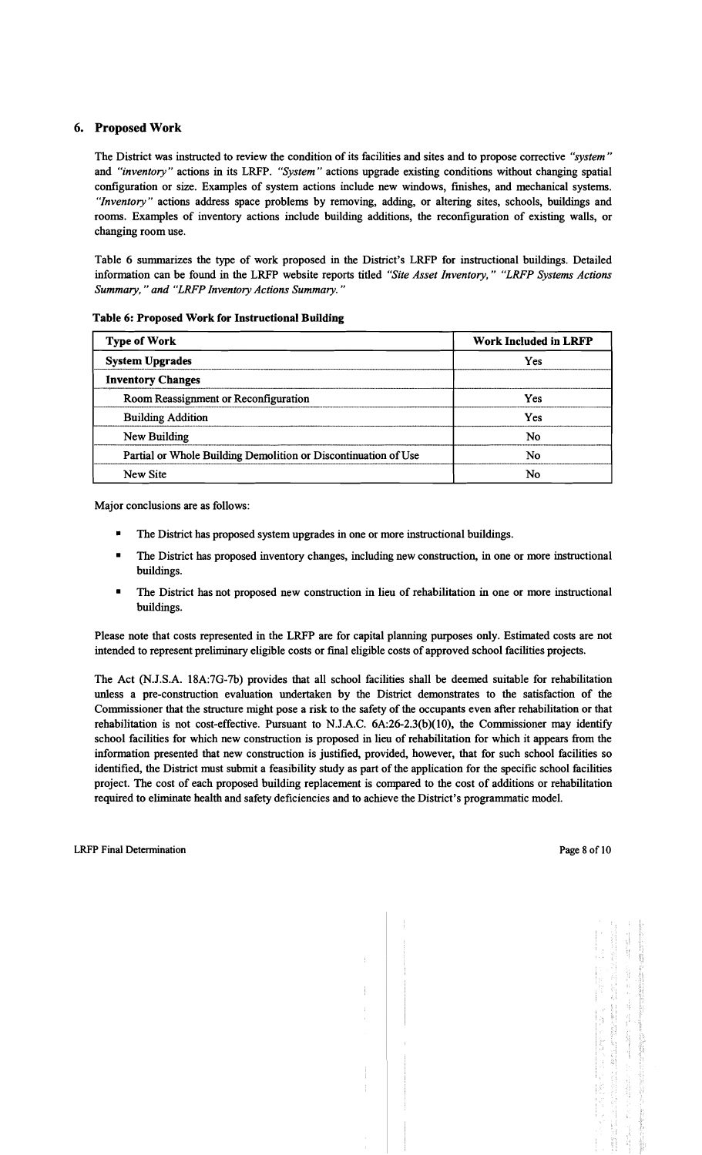## 6. Proposed Work

The District was instructed to review the condition of its facilities and sites and to propose corrective *"system"* and *"inventory"* actions in its LRFP. "System" actions upgrade existing conditions without changing spatial configuration or size. Examples of system actions include new windows, fmishes, and mechanical systems. *UInventory"* actions address space problems by removing, adding, or altering sites, schools, buildings and rooms. Examples of inventory actions include building additions, the reconfiguration of existing walls, or changing room use.

Table 6 summarizes the type of work proposed in the District's LRFP for instructional buildings. Detailed information can be found in the LRFP website reports titled "Site Asset Inventory," "LRFP Systems Actions *Summary," and "LRFP Inventory Actions Summary."* 

| <b>Type of Work</b>                                            | <b>Work Included in LRFP</b> |  |  |
|----------------------------------------------------------------|------------------------------|--|--|
| <b>System Upgrades</b>                                         | <b>Yes</b>                   |  |  |
| <b>Inventory Changes</b>                                       |                              |  |  |
| Room Reassignment or Reconfiguration                           | Yes                          |  |  |
| <b>Building Addition</b>                                       | Yes                          |  |  |
| New Building                                                   | No                           |  |  |
| Partial or Whole Building Demolition or Discontinuation of Use | No                           |  |  |
| New Site                                                       | No                           |  |  |

#### Table 6: Proposed Work for Instructional Building

Major conclusions are as follows:

- The District has proposed system upgrades in one or more instructional buildings.
- The District has proposed inventory changes, including new construction, in one or more instructional buildings.
- The District has not proposed new construction in lieu of rehabilitation in one or more instructional buildings.

Please note that costs represented in the LRFP are for capital planning purposes only. Estimated costs are not intended to represent preliminary eligible costs or fmal eligible costs of approved school facilities projects.

The Act (N.J.S.A. 18A:7G-7b) provides that all school facilities shall be deemed suitable for rehabilitation unless a pre-construction evaluation undertaken by the District demonstrates to the satisfaction of the Commissioner that the structure might pose a risk to the safety of the occupants even after rehabilitation or that rehabilitation is not cost-effective. Pursuant to NJ.A.C. 6A:26-2.3(b)(10), the Commissioner may identify school facilities for which new construction is proposed in lieu of rehabilitation for which it appears from the information presented that new construction is justified, provided, however, that for such school facilities so identified, the District must submit a feasibility study as part of the application for the specific school facilities project. The cost of each proposed building replacement is compared to the cost of additions or rehabilitation required to eliminate health and safety deficiencies and to achieve the District's programmatic model.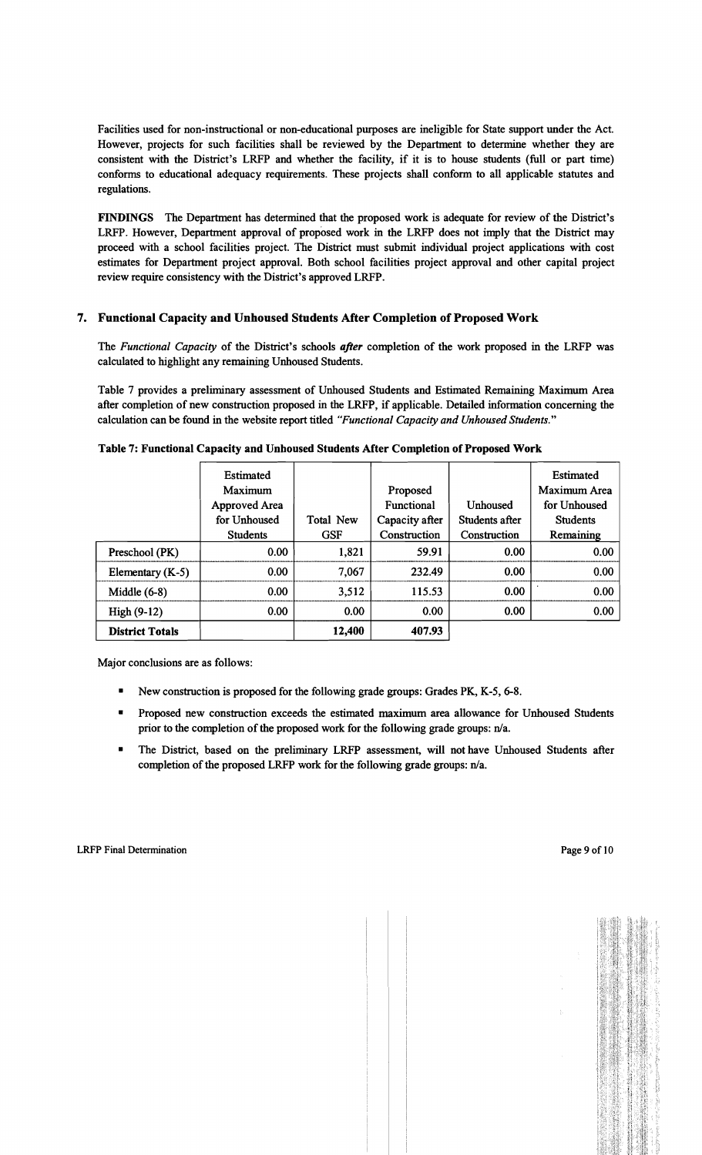Facilities used for non-instructional or non-educational purposes are ineligible for State support under the Act. However, projects for such facilities shall be reviewed by the Department to determine whether they are consistent with the District's LRFP and whether the facility, if it is to house students (full or part time) conforms to educational adequacy requirements. These projects shall conform to all applicable statutes and regulations.

FINDINGS The Department has determined that the proposed work is adequate for review of the District's LRFP. However, Department approval of proposed work in the LRFP does not imply that the District may proceed with a school facilities project. The District must submit individual project applications with cost estimates for Department project approval. Both school facilities project approval and other capital project review require consistency with the District's approved LRFP.

## 7. Functional Capacity and Unhoused Students After Completion of Proposed Work

The *Functional Capacity* of the District's schools *after* completion of the work proposed in the LRFP was calculated to highlight any remaining Unhoused Students.

Table 7 provides a preliminary assessment of Unhoused Students and Estimated Remaining Maximum Area after completion of new construction proposed in the LRFP, if applicable. Detailed information concerning the calculation can be found in the website report titled *"Functional Capacity and Unhoused Students."* 

|                        | Estimated<br>Maximum<br>Approved Area<br>for Unhoused<br><b>Students</b> | Total New<br><b>GSF</b> | Proposed<br><b>Functional</b><br>Capacity after<br>Construction | Unhoused<br>Students after<br>Construction | Estimated<br>Maximum Area<br>for Unhoused<br><b>Students</b><br>Remaining |
|------------------------|--------------------------------------------------------------------------|-------------------------|-----------------------------------------------------------------|--------------------------------------------|---------------------------------------------------------------------------|
| Preschool (PK)         | 0.00                                                                     | 1,821                   | 59.91                                                           | 0.00                                       | 0.00                                                                      |
| Elementary $(K-5)$     | 0.00                                                                     | 7,067                   | 232.49                                                          | 0.00                                       | 0.00                                                                      |
| Middle $(6-8)$         | 0.00 <sub>1</sub>                                                        | 3,512                   | 115.53                                                          | 0.00                                       | 0.00                                                                      |
| High (9-12)            | 0.00 <sub>1</sub>                                                        | 0.00                    | 0.00                                                            | 0.00                                       | 0.00                                                                      |
| <b>District Totals</b> |                                                                          | 12,400                  | 407.93                                                          |                                            |                                                                           |

Table 7: Functional Capacity and Unhoused Students After Completion of Proposed Work

Major conclusions are as follows:

- New construction is proposed for the following grade groups: Grades PK, K-5, 6-8.
- Proposed new construction exceeds the estimated maximum area allowance for Unhoused Students prior to the completion of the proposed work for the following grade groups: n/a.
- The District, based on the preliminary LRFP assessment, will not have Unhoused Students after completion of the proposed LRFP work for the following grade groups:  $n/a$ .